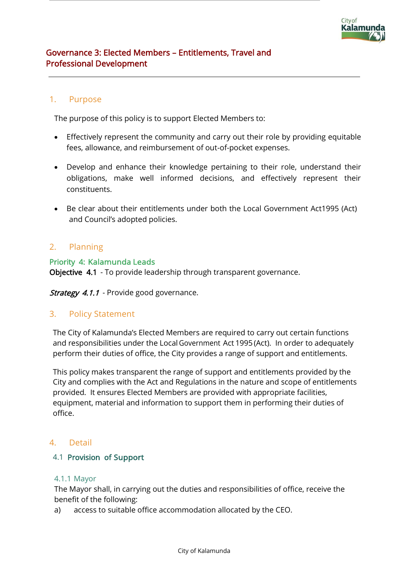# 1. Purpose

The purpose of this policy is to support Elected Members to:

- Effectively represent the community and carry out their role by providing equitable fees, allowance, and reimbursement of out-of-pocket expenses.
- Develop and enhance their knowledge pertaining to their role, understand their obligations, make well informed decisions, and effectively represent their constituents.
- Be clear about their entitlements under both the Local Government Act1995 (Act) and Council's adopted policies.

# 2. Planning

#### Priority 4: Kalamunda Leads

Objective 4.1 - To provide leadership through transparent governance.

**Strategy 4.1.1** - Provide good governance.

# 3. Policy Statement

The City of Kalamunda's Elected Members are required to carry out certain functions and responsibilities under the Local Government Act 1995 (Act). In order to adequately perform their duties of office, the City provides a range of support and entitlements.

This policy makes transparent the range of support and entitlements provided by the City and complies with the Act and Regulations in the nature and scope of entitlements provided. It ensures Elected Members are provided with appropriate facilities, equipment, material and information to support them in performing their duties of office.

# 4. Detail

#### 4.1 Provision of Support

#### 4.1.1 Mayor

The Mayor shall, in carrying out the duties and responsibilities of office, receive the benefit of the following:

a) access to suitable office accommodation allocated by the CEO.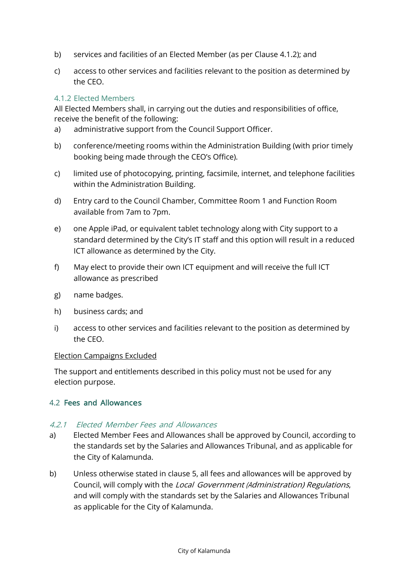- b) services and facilities of an Elected Member (as per Clause 4.1.2); and
- c) access to other services and facilities relevant to the position as determined by the CEO.

# 4.1.2 Elected Members

All Elected Members shall, in carrying out the duties and responsibilities of office, receive the benefit of the following:

- a) administrative support from the Council Support Officer.
- b) conference/meeting rooms within the Administration Building (with prior timely booking being made through the CEO's Office).
- c) limited use of photocopying, printing, facsimile, internet, and telephone facilities within the Administration Building.
- d) Entry card to the Council Chamber, Committee Room 1 and Function Room available from 7am to 7pm.
- e) one Apple iPad, or equivalent tablet technology along with City support to a standard determined by the City's IT staff and this option will result in a reduced ICT allowance as determined by the City.
- f) May elect to provide their own ICT equipment and will receive the full ICT allowance as prescribed
- g) name badges.
- h) business cards; and
- i) access to other services and facilities relevant to the position as determined by the CEO.

#### Election Campaigns Excluded

The support and entitlements described in this policy must not be used for any election purpose.

#### 4.2 Fees and Allowances

## 4.2.1 Elected Member Fees and Allowances

- a) Elected Member Fees and Allowances shall be approved by Council, according to the standards set by the Salaries and Allowances Tribunal, and as applicable for the City of Kalamunda.
- b) Unless otherwise stated in clause 5, all fees and allowances will be approved by Council, will comply with the Local Government (Administration) Regulations, and will comply with the standards set by the Salaries and Allowances Tribunal as applicable for the City of Kalamunda.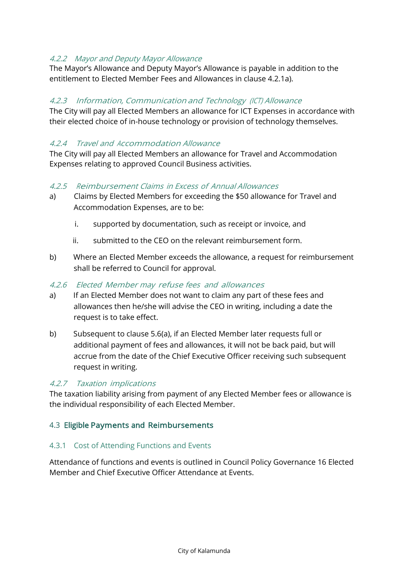# 4.2.2 Mayor and Deputy Mayor Allowance

The Mayor's Allowance and Deputy Mayor's Allowance is payable in addition to the entitlement to Elected Member Fees and Allowances in clause 4.2.1a).

## 4.2.3 Information, Communication and Technology (ICT) Allowance

The City will pay all Elected Members an allowance for ICT Expenses in accordance with their elected choice of in-house technology or provision of technology themselves.

## 4.2.4 Travel and Accommodation Allowance

The City will pay all Elected Members an allowance for Travel and Accommodation Expenses relating to approved Council Business activities.

#### 4.2.5 Reimbursement Claims in Excess of Annual Allowances

- a) Claims by Elected Members for exceeding the \$50 allowance for Travel and Accommodation Expenses, are to be:
	- i. supported by documentation, such as receipt or invoice, and
	- ii. submitted to the CEO on the relevant reimbursement form.
- b) Where an Elected Member exceeds the allowance, a request for reimbursement shall be referred to Council for approval.

#### 4.2.6 Elected Member may refuse fees and allowances

- a) If an Elected Member does not want to claim any part of these fees and allowances then he/she will advise the CEO in writing, including a date the request is to take effect.
- b) Subsequent to clause 5.6(a), if an Elected Member later requests full or additional payment of fees and allowances, it will not be back paid, but will accrue from the date of the Chief Executive Officer receiving such subsequent request in writing.

#### 4.2.7 Taxation implications

The taxation liability arising from payment of any Elected Member fees or allowance is the individual responsibility of each Elected Member.

#### 4.3 Eligible Payments and Reimbursements

#### 4.3.1 Cost of Attending Functions and Events

Attendance of functions and events is outlined in Council Policy Governance 16 Elected Member and Chief Executive Officer Attendance at Events.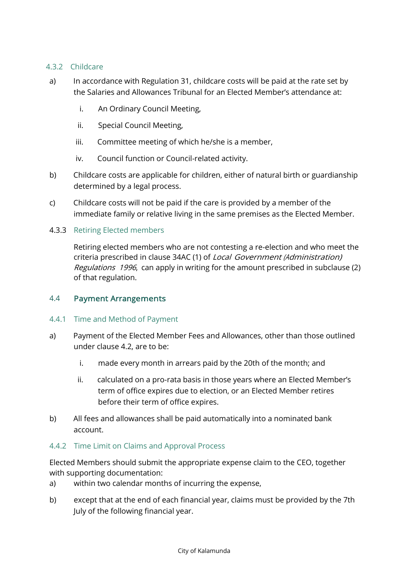## 4.3.2 Childcare

- a) In accordance with Regulation 31, childcare costs will be paid at the rate set by the Salaries and Allowances Tribunal for an Elected Member's attendance at:
	- i. An Ordinary Council Meeting,
	- ii. Special Council Meeting,
	- iii. Committee meeting of which he/she is a member,
	- iv. Council function or Council-related activity.
- b) Childcare costs are applicable for children, either of natural birth or guardianship determined by a legal process.
- c) Childcare costs will not be paid if the care is provided by a member of the immediate family or relative living in the same premises as the Elected Member.

#### 4.3.3 Retiring Elected members

Retiring elected members who are not contesting a re-election and who meet the criteria prescribed in clause 34AC (1) of *Local Government (Administration)* Regulations 1996, can apply in writing for the amount prescribed in subclause (2) of that regulation.

#### 4.4 Payment Arrangements

#### 4.4.1 Time and Method of Payment

- a) Payment of the Elected Member Fees and Allowances, other than those outlined under clause 4.2, are to be:
	- i. made every month in arrears paid by the 20th of the month; and
	- ii. calculated on a pro-rata basis in those years where an Elected Member's term of office expires due to election, or an Elected Member retires before their term of office expires.
- b) All fees and allowances shall be paid automatically into a nominated bank account.

#### 4.4.2 Time Limit on Claims and Approval Process

Elected Members should submit the appropriate expense claim to the CEO, together with supporting documentation:

- a) within two calendar months of incurring the expense,
- b) except that at the end of each financial year, claims must be provided by the 7th July of the following financial year.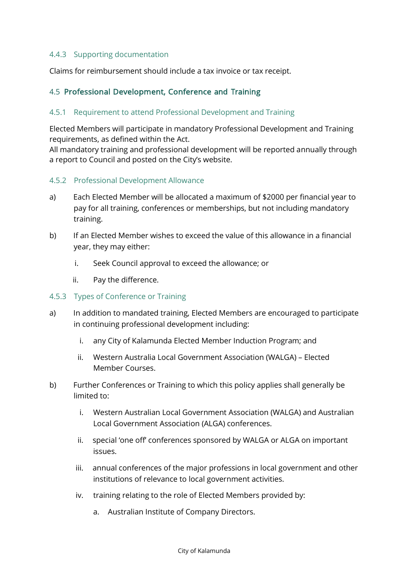## 4.4.3 Supporting documentation

Claims for reimbursement should include a tax invoice or tax receipt.

## 4.5 Professional Development, Conference and Training

#### 4.5.1 Requirement to attend Professional Development and Training

Elected Members will participate in mandatory Professional Development and Training requirements, as defined within the Act.

All mandatory training and professional development will be reported annually through a report to Council and posted on the City's website.

#### 4.5.2 Professional Development Allowance

- a) Each Elected Member will be allocated a maximum of \$2000 per financial year to pay for all training, conferences or memberships, but not including mandatory training.
- b) If an Elected Member wishes to exceed the value of this allowance in a financial year, they may either:
	- i. Seek Council approval to exceed the allowance; or
	- ii. Pay the difference.

#### 4.5.3 Types of Conference or Training

- a) In addition to mandated training, Elected Members are encouraged to participate in continuing professional development including:
	- i. any City of Kalamunda Elected Member Induction Program; and
	- ii. Western Australia Local Government Association (WALGA) Elected Member Courses.
- b) Further Conferences or Training to which this policy applies shall generally be limited to:
	- i. Western Australian Local Government Association (WALGA) and Australian Local Government Association (ALGA) conferences.
	- ii. special 'one off' conferences sponsored by WALGA or ALGA on important issues.
	- iii. annual conferences of the major professions in local government and other institutions of relevance to local government activities.
	- iv. training relating to the role of Elected Members provided by:
		- a. Australian Institute of Company Directors.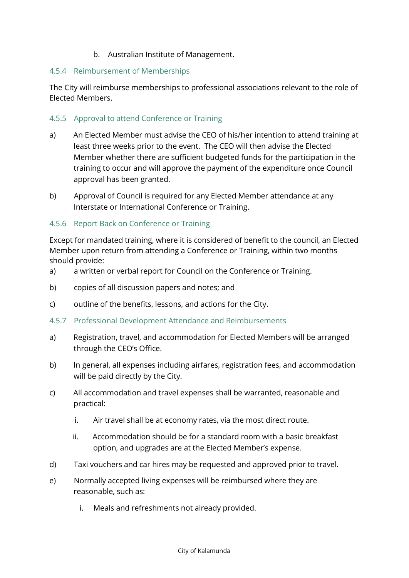## b. Australian Institute of Management.

#### 4.5.4 Reimbursement of Memberships

The City will reimburse memberships to professional associations relevant to the role of Elected Members.

#### 4.5.5 Approval to attend Conference or Training

- a) An Elected Member must advise the CEO of his/her intention to attend training at least three weeks prior to the event. The CEO will then advise the Elected Member whether there are sufficient budgeted funds for the participation in the training to occur and will approve the payment of the expenditure once Council approval has been granted.
- b) Approval of Council is required for any Elected Member attendance at any Interstate or International Conference or Training.

#### 4.5.6 Report Back on Conference or Training

Except for mandated training, where it is considered of benefit to the council, an Elected Member upon return from attending a Conference or Training, within two months should provide:

- a) a written or verbal report for Council on the Conference or Training.
- b) copies of all discussion papers and notes; and
- c) outline of the benefits, lessons, and actions for the City.
- 4.5.7 Professional Development Attendance and Reimbursements
- a) Registration, travel, and accommodation for Elected Members will be arranged through the CEO's Office.
- b) In general, all expenses including airfares, registration fees, and accommodation will be paid directly by the City.
- c) All accommodation and travel expenses shall be warranted, reasonable and practical:
	- i. Air travel shall be at economy rates, via the most direct route.
	- ii. Accommodation should be for a standard room with a basic breakfast option, and upgrades are at the Elected Member's expense.
- d) Taxi vouchers and car hires may be requested and approved prior to travel.
- e) Normally accepted living expenses will be reimbursed where they are reasonable, such as:
	- i. Meals and refreshments not already provided.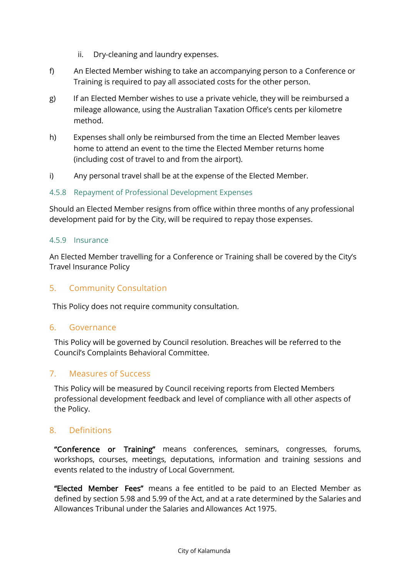- ii. Dry-cleaning and laundry expenses.
- f) An Elected Member wishing to take an accompanying person to a Conference or Training is required to pay all associated costs for the other person.
- g) If an Elected Member wishes to use a private vehicle, they will be reimbursed a mileage allowance, using the Australian Taxation Office's cents per kilometre method.
- h) Expenses shall only be reimbursed from the time an Elected Member leaves home to attend an event to the time the Elected Member returns home (including cost of travel to and from the airport).
- i) Any personal travel shall be at the expense of the Elected Member.

## 4.5.8 Repayment of Professional Development Expenses

Should an Elected Member resigns from office within three months of any professional development paid for by the City, will be required to repay those expenses.

#### 4.5.9 Insurance

An Elected Member travelling for a Conference or Training shall be covered by the City's Travel Insurance Policy

# 5. Community Consultation

This Policy does not require community consultation.

#### 6. Governance

This Policy will be governed by Council resolution. Breaches will be referred to the Council's Complaints Behavioral Committee.

# 7. Measures of Success

This Policy will be measured by Council receiving reports from Elected Members professional development feedback and level of compliance with all other aspects of the Policy.

# 8. Definitions

"Conference or Training" means conferences, seminars, congresses, forums, workshops, courses, meetings, deputations, information and training sessions and events related to the industry of Local Government.

"Elected Member Fees" means a fee entitled to be paid to an Elected Member as defined by section 5.98 and 5.99 of the Act, and at a rate determined by the Salaries and Allowances Tribunal under the Salaries and Allowances Act 1975.